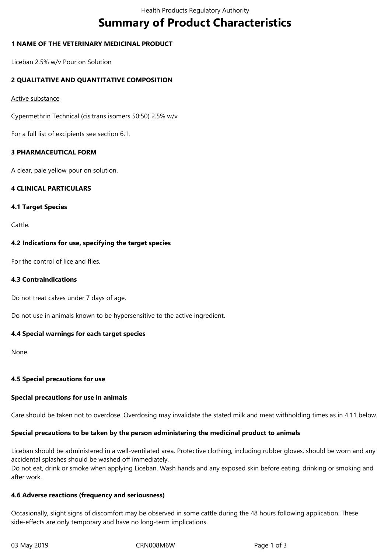# **Summary of Product Characteristics**

# **1 NAME OF THE VETERINARY MEDICINAL PRODUCT**

Liceban 2.5% w/v Pour on Solution

# **2 QUALITATIVE AND QUANTITATIVE COMPOSITION**

#### Active substance

Cypermethrin Technical (cis:trans isomers 50:50) 2.5% w/v

For a full list of excipients see section 6.1.

# **3 PHARMACEUTICAL FORM**

A clear, pale yellow pour on solution.

# **4 CLINICAL PARTICULARS**

#### **4.1 Target Species**

Cattle.

# **4.2 Indications for use, specifying the target species**

For the control of lice and flies.

# **4.3 Contraindications**

Do not treat calves under 7 days of age.

Do not use in animals known to be hypersensitive to the active ingredient.

# **4.4 Special warnings for each target species**

None.

# **4.5 Special precautions for use**

# **Special precautions for use in animals**

Care should be taken not to overdose. Overdosing may invalidate the stated milk and meat withholding times as in 4.11 below.

# **Special precautions to be taken by the person administering the medicinal product to animals**

Liceban should be administered in a well-ventilated area. Protective clothing, including rubber gloves, should be worn and any accidental splashes should be washed off immediately.

Do not eat, drink or smoke when applying Liceban. Wash hands and any exposed skin before eating, drinking or smoking and after work.

# **4.6 Adverse reactions (frequency and seriousness)**

Occasionally, slight signs of discomfort may be observed in some cattle during the 48 hours following application. These side-effects are only temporary and have no long-term implications.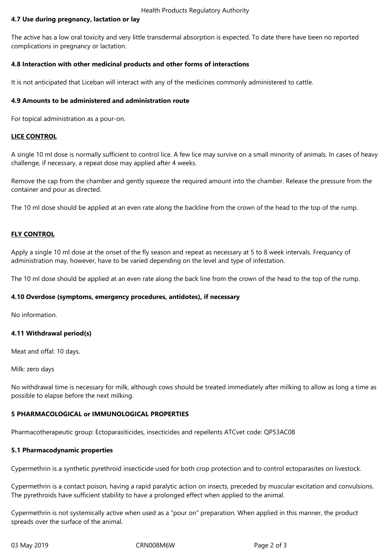#### Health Products Regulatory Authority

# **4.7 Use during pregnancy, lactation or lay**

The active has a low oral toxicity and very little transdermal absorption is expected. To date there have been no reported complications in pregnancy or lactation.

# **4.8 Interaction with other medicinal products and other forms of interactions**

It is not anticipated that Liceban will interact with any of the medicines commonly administered to cattle.

# **4.9 Amounts to be administered and administration route**

For topical administration as a pour-on.

# **LICE CONTROL**

A single 10 ml dose is normally sufficient to control lice. A few lice may survive on a small minority of animals. In cases of heavy challenge, if necessary, a repeat dose may applied after 4 weeks.

Remove the cap from the chamber and gently squeeze the required amount into the chamber. Release the pressure from the container and pour as directed.

The 10 ml dose should be applied at an even rate along the backline from the crown of the head to the top of the rump.

# **FLY CONTROL**

Apply a single 10 ml dose at the onset of the fly season and repeat as necessary at 5 to 8 week intervals. Frequancy of administration may, however, have to be varied depending on the level and type of infestation.

The 10 ml dose should be applied at an even rate along the back line from the crown of the head to the top of the rump.

# **4.10 Overdose (symptoms, emergency procedures, antidotes), if necessary**

No information.

# **4.11 Withdrawal period(s)**

Meat and offal: 10 days.

Milk: zero days

No withdrawal time is necessary for milk, although cows should be treated immediately after milking to allow as long a time as possible to elapse before the next milking.

# **5 PHARMACOLOGICAL or IMMUNOLOGICAL PROPERTIES**

Pharmacotherapeutic group: Ectoparasiticides, insecticides and repellents ATCvet code: QP53AC08

# **5.1 Pharmacodynamic properties**

Cypermethrin is a synthetic pyrethroid insecticide used for both crop protection and to control ectoparasites on livestock.

Cypermethrin is a contact poison, having a rapid paralytic action on insects, preceded by muscular excitation and convulsions. The pyrethroids have sufficient stability to have a prolonged effect when applied to the animal.

Cypermethrin is not systemically active when used as a "pour on" preparation. When applied in this manner, the product spreads over the surface of the animal.